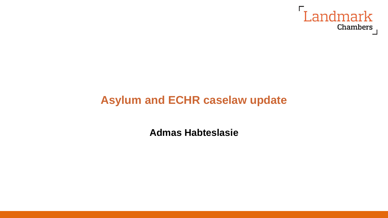

## **Asylum and ECHR caselaw update**

**Admas Habteslasie**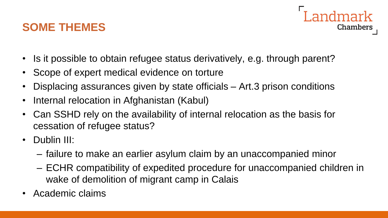#### **SOME THEMES**

- Chambers
- Is it possible to obtain refugee status derivatively, e.g. through parent?
- Scope of expert medical evidence on torture
- Displacing assurances given by state officials Art.3 prison conditions
- Internal relocation in Afghanistan (Kabul)
- Can SSHD rely on the availability of internal relocation as the basis for cessation of refugee status?
- Dublin III:
	- failure to make an earlier asylum claim by an unaccompanied minor
	- ECHR compatibility of expedited procedure for unaccompanied children in wake of demolition of migrant camp in Calais
- Academic claims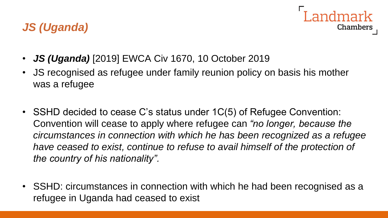

- *JS (Uganda)* [2019] EWCA Civ 1670, 10 October 2019
- JS recognised as refugee under family reunion policy on basis his mother was a refugee
- SSHD decided to cease C's status under 1C(5) of Refugee Convention: Convention will cease to apply where refugee can *"no longer, because the circumstances in connection with which he has been recognized as a refugee have ceased to exist, continue to refuse to avail himself of the protection of the country of his nationality".*
- SSHD: circumstances in connection with which he had been recognised as a refugee in Uganda had ceased to exist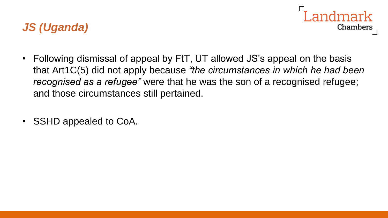- Chambers
- Following dismissal of appeal by FtT, UT allowed JS's appeal on the basis that Art1C(5) did not apply because *"the circumstances in which he had been recognised as a refugee"* were that he was the son of a recognised refugee; and those circumstances still pertained.
- SSHD appealed to CoA.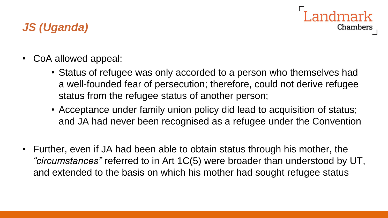# **Chambers**

- CoA allowed appeal:
	- Status of refugee was only accorded to a person who themselves had a well-founded fear of persecution; therefore, could not derive refugee status from the refugee status of another person;
	- Acceptance under family union policy did lead to acquisition of status; and JA had never been recognised as a refugee under the Convention
- Further, even if JA had been able to obtain status through his mother, the *"circumstances"* referred to in Art 1C(5) were broader than understood by UT, and extended to the basis on which his mother had sought refugee status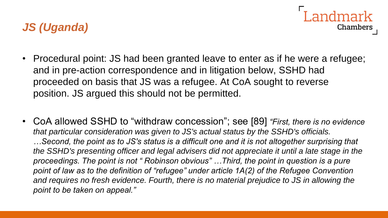

- Procedural point: JS had been granted leave to enter as if he were a refugee; and in pre-action correspondence and in litigation below, SSHD had proceeded on basis that JS was a refugee. At CoA sought to reverse position. JS argued this should not be permitted.
- CoA allowed SSHD to "withdraw concession"; see [89] *"First, there is no evidence that particular consideration was given to JS's actual status by the SSHD's officials. …Second, the point as to JS's status is a difficult one and it is not altogether surprising that the SSHD's presenting officer and legal advisers did not appreciate it until a late stage in the proceedings. The point is not " Robinson obvious" …Third, the point in question is a pure point of law as to the definition of "refugee" under article 1A(2) of the Refugee Convention and requires no fresh evidence. Fourth, there is no material prejudice to JS in allowing the point to be taken on appeal."*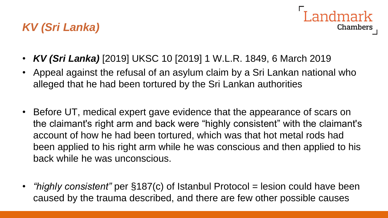## *KV (Sri Lanka)*



- *KV (Sri Lanka)* [2019] UKSC 10 [2019] 1 W.L.R. 1849, 6 March 2019
- Appeal against the refusal of an asylum claim by a Sri Lankan national who alleged that he had been tortured by the Sri Lankan authorities
- Before UT, medical expert gave evidence that the appearance of scars on the claimant's right arm and back were "highly consistent" with the claimant's account of how he had been tortured, which was that hot metal rods had been applied to his right arm while he was conscious and then applied to his back while he was unconscious.
- *"highly consistent"* per §187(c) of Istanbul Protocol = lesion could have been caused by the trauma described, and there are few other possible causes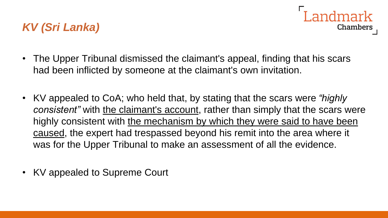## *KV (Sri Lanka)*

• The Upper Tribunal dismissed the claimant's appeal, finding that his scars had been inflicted by someone at the claimant's own invitation.

I andmark

**Chambers** 

- KV appealed to CoA; who held that, by stating that the scars were *"highly consistent*" with the claimant's account, rather than simply that the scars were highly consistent with the mechanism by which they were said to have been caused, the expert had trespassed beyond his remit into the area where it was for the Upper Tribunal to make an assessment of all the evidence.
- KV appealed to Supreme Court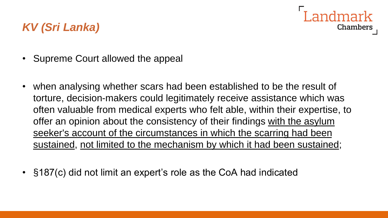## andmark **Chambers**

## *KV (Sri Lanka)*

- Supreme Court allowed the appeal
- when analysing whether scars had been established to be the result of torture, decision-makers could legitimately receive assistance which was often valuable from medical experts who felt able, within their expertise, to offer an opinion about the consistency of their findings with the asylum seeker's account of the circumstances in which the scarring had been sustained, not limited to the mechanism by which it had been sustained;
- §187(c) did not limit an expert's role as the CoA had indicated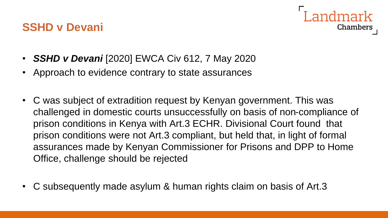

- *SSHD v Devani* [2020] EWCA Civ 612, 7 May 2020
- Approach to evidence contrary to state assurances
- C was subject of extradition request by Kenyan government. This was challenged in domestic courts unsuccessfully on basis of non-compliance of prison conditions in Kenya with Art.3 ECHR. Divisional Court found that prison conditions were not Art.3 compliant, but held that, in light of formal assurances made by Kenyan Commissioner for Prisons and DPP to Home Office, challenge should be rejected
- C subsequently made asylum & human rights claim on basis of Art.3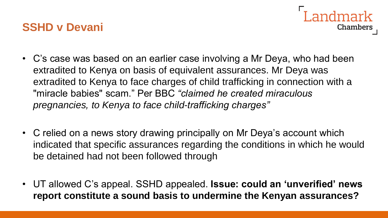- andmark Chambers
- C's case was based on an earlier case involving a Mr Deya, who had been extradited to Kenya on basis of equivalent assurances. Mr Deya was extradited to Kenya to face charges of child trafficking in connection with a "miracle babies" scam." Per BBC *"claimed he created miraculous pregnancies, to Kenya to face child-trafficking charges"*
- C relied on a news story drawing principally on Mr Deya's account which indicated that specific assurances regarding the conditions in which he would be detained had not been followed through
- UT allowed C's appeal. SSHD appealed. **Issue: could an 'unverified' news report constitute a sound basis to undermine the Kenyan assurances?**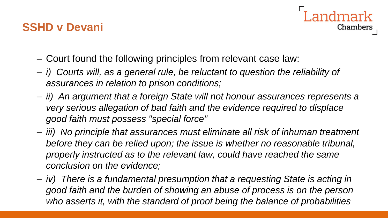

- Court found the following principles from relevant case law:
- *i) Courts will, as a general rule, be reluctant to question the reliability of assurances in relation to prison conditions;*
- *ii) An argument that a foreign State will not honour assurances represents a very serious allegation of bad faith and the evidence required to displace good faith must possess "special force"*
- *iii) No principle that assurances must eliminate all risk of inhuman treatment before they can be relied upon; the issue is whether no reasonable tribunal, properly instructed as to the relevant law, could have reached the same conclusion on the evidence;*
- *iv) There is a fundamental presumption that a requesting State is acting in good faith and the burden of showing an abuse of process is on the person who asserts it, with the standard of proof being the balance of probabilities*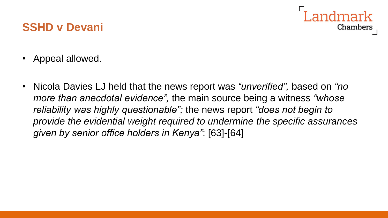# Chambers

- Appeal allowed.
- Nicola Davies LJ held that the news report was *"unverified",* based on *"no more than anecdotal evidence",* the main source being a witness *"whose reliability was highly questionable";* the news report *"does not begin to provide the evidential weight required to undermine the specific assurances given by senior office holders in Kenya"*: [63]-[64]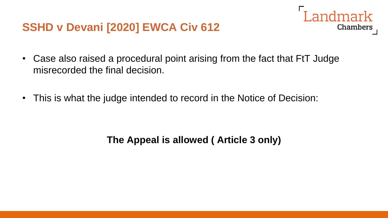## **SSHD v Devani [2020] EWCA Civ 612**



Landmark

Chambers

• This is what the judge intended to record in the Notice of Decision:

#### **The Appeal is allowed ( Article 3 only)**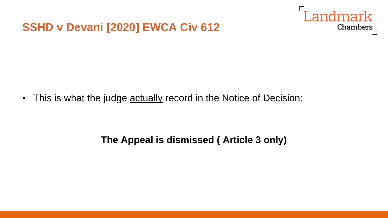#### **SSHD v Devani [2020] EWCA Civ 612**



• This is what the judge **actually record in the Notice of Decision**:

#### **The Appeal is dismissed ( Article 3 only)**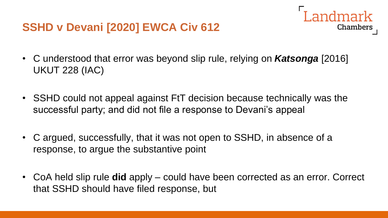## **SSHD v Devani [2020] EWCA Civ 612**

• C understood that error was beyond slip rule, relying on *Katsonga* [2016] UKUT 228 (IAC)

Landmark

Chambers

- SSHD could not appeal against FtT decision because technically was the successful party; and did not file a response to Devani's appeal
- C argued, successfully, that it was not open to SSHD, in absence of a response, to argue the substantive point
- CoA held slip rule **did** apply could have been corrected as an error. Correct that SSHD should have filed response, but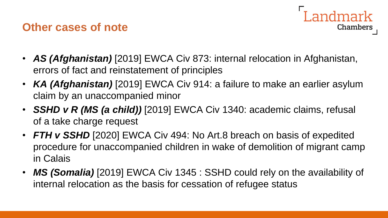#### **Other cases of note**



- *AS (Afghanistan)* [2019] EWCA Civ 873: internal relocation in Afghanistan, errors of fact and reinstatement of principles
- **KA (Afghanistan)** [2019] EWCA Civ 914: a failure to make an earlier asylum claim by an unaccompanied minor
- *SSHD v R (MS (a child))* [2019] EWCA Civ 1340: academic claims, refusal of a take charge request
- *FTH v SSHD* [2020] EWCA Civ 494: No Art.8 breach on basis of expedited procedure for unaccompanied children in wake of demolition of migrant camp in Calais
- MS (Somalia) [2019] EWCA Civ 1345 : SSHD could rely on the availability of internal relocation as the basis for cessation of refugee status